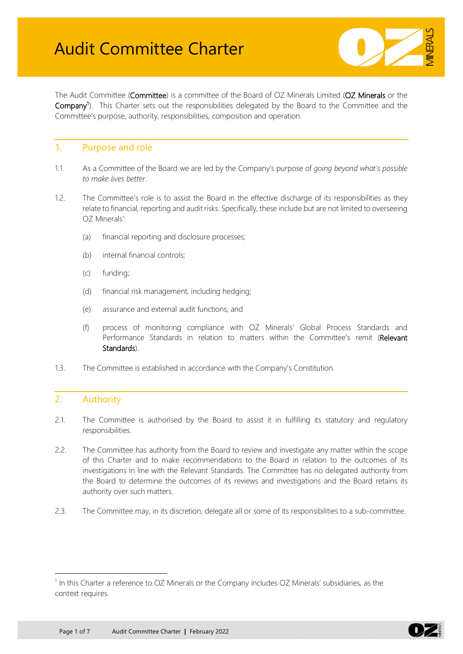

The Audit Committee (Committee) is a committee of the Board of OZ Minerals Limited (OZ Minerals or the Company<sup>[1](#page-0-0)</sup>). This Charter sets out the responsibilities delegated by the Board to the Committee and the Committee's purpose, authority, responsibilities, composition and operation.

### 1. Purpose and role

- 1.1. As a Committee of the Board we are led by the Company's purpose of *going beyond what's possible to make lives better*.
- 1.2. The Committee's role is to assist the Board in the effective discharge of its responsibilities as they relate to financial, reporting and audit risks. Specifically, these include but are not limited to overseeing OZ Minerals':
	- (a) financial reporting and disclosure processes;
	- (b) internal financial controls;
	- (c) funding;
	- (d) financial risk management, including hedging;
	- (e) assurance and external audit functions; and
	- (f) process of monitoring compliance with OZ Minerals' Global Process Standards and Performance Standards in relation to matters within the Committee's remit (Relevant Standards).
- 1.3. The Committee is established in accordance with the Company's Constitution.

## 2. Authority

- 2.1. The Committee is authorised by the Board to assist it in fulfilling its statutory and regulatory responsibilities.
- 2.2. The Committee has authority from the Board to review and investigate any matter within the scope of this Charter and to make recommendations to the Board in relation to the outcomes of its investigations in line with the Relevant Standards. The Committee has no delegated authority from the Board to determine the outcomes of its reviews and investigations and the Board retains its authority over such matters.
- 2.3. The Committee may, in its discretion, delegate all or some of its responsibilities to a sub-committee.



<span id="page-0-0"></span> $1$  In this Charter a reference to OZ Minerals or the Company includes OZ Minerals' subsidiaries, as the context requires.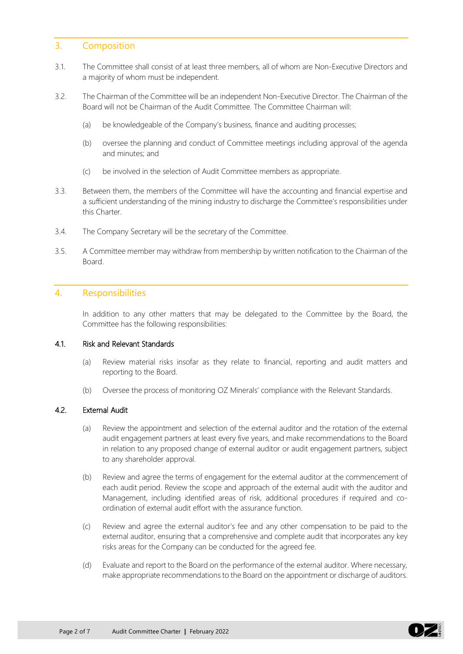## 3. Composition

- 3.1. The Committee shall consist of at least three members, all of whom are Non-Executive Directors and a majority of whom must be independent.
- 3.2. The Chairman of the Committee will be an independent Non-Executive Director. The Chairman of the Board will not be Chairman of the Audit Committee. The Committee Chairman will:
	- (a) be knowledgeable of the Company's business, finance and auditing processes;
	- (b) oversee the planning and conduct of Committee meetings including approval of the agenda and minutes; and
	- (c) be involved in the selection of Audit Committee members as appropriate.
- 3.3. Between them, the members of the Committee will have the accounting and financial expertise and a sufficient understanding of the mining industry to discharge the Committee's responsibilities under this Charter.
- 3.4. The Company Secretary will be the secretary of the Committee.
- 3.5. A Committee member may withdraw from membership by written notification to the Chairman of the Board.

### 4. Responsibilities

In addition to any other matters that may be delegated to the Committee by the Board, the Committee has the following responsibilities:

#### 4.1. Risk and Relevant Standards

- (a) Review material risks insofar as they relate to financial, reporting and audit matters and reporting to the Board.
- (b) Oversee the process of monitoring OZ Minerals' compliance with the Relevant Standards.

#### 4.2. External Audit

- (a) Review the appointment and selection of the external auditor and the rotation of the external audit engagement partners at least every five years, and make recommendations to the Board in relation to any proposed change of external auditor or audit engagement partners, subject to any shareholder approval.
- (b) Review and agree the terms of engagement for the external auditor at the commencement of each audit period. Review the scope and approach of the external audit with the auditor and Management, including identified areas of risk, additional procedures if required and coordination of external audit effort with the assurance function.
- (c) Review and agree the external auditor's fee and any other compensation to be paid to the external auditor, ensuring that a comprehensive and complete audit that incorporates any key risks areas for the Company can be conducted for the agreed fee.
- (d) Evaluate and report to the Board on the performance of the external auditor. Where necessary, make appropriate recommendations to the Board on the appointment or discharge of auditors.

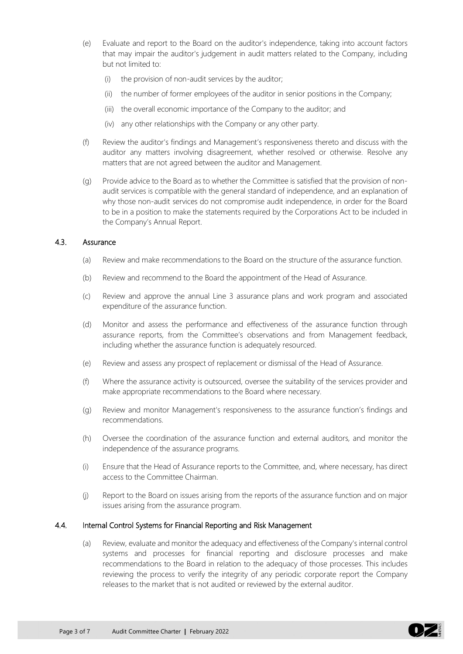- (e) Evaluate and report to the Board on the auditor's independence, taking into account factors that may impair the auditor's judgement in audit matters related to the Company, including but not limited to:
	- (i) the provision of non-audit services by the auditor;
	- (ii) the number of former employees of the auditor in senior positions in the Company;
	- (iii) the overall economic importance of the Company to the auditor; and
	- (iv) any other relationships with the Company or any other party.
- (f) Review the auditor's findings and Management's responsiveness thereto and discuss with the auditor any matters involving disagreement, whether resolved or otherwise. Resolve any matters that are not agreed between the auditor and Management.
- (g) Provide advice to the Board as to whether the Committee is satisfied that the provision of nonaudit services is compatible with the general standard of independence, and an explanation of why those non-audit services do not compromise audit independence, in order for the Board to be in a position to make the statements required by the Corporations Act to be included in the Company's Annual Report.

#### 4.3. Assurance

- (a) Review and make recommendations to the Board on the structure of the assurance function.
- (b) Review and recommend to the Board the appointment of the Head of Assurance.
- (c) Review and approve the annual Line 3 assurance plans and work program and associated expenditure of the assurance function.
- (d) Monitor and assess the performance and effectiveness of the assurance function through assurance reports, from the Committee's observations and from Management feedback, including whether the assurance function is adequately resourced.
- (e) Review and assess any prospect of replacement or dismissal of the Head of Assurance.
- (f) Where the assurance activity is outsourced, oversee the suitability of the services provider and make appropriate recommendations to the Board where necessary.
- (g) Review and monitor Management's responsiveness to the assurance function's findings and recommendations.
- (h) Oversee the coordination of the assurance function and external auditors, and monitor the independence of the assurance programs.
- (i) Ensure that the Head of Assurance reports to the Committee, and, where necessary, has direct access to the Committee Chairman.
- (j) Report to the Board on issues arising from the reports of the assurance function and on major issues arising from the assurance program.

#### 4.4. Internal Control Systems for Financial Reporting and Risk Management

(a) Review, evaluate and monitor the adequacy and effectiveness of the Company's internal control systems and processes for financial reporting and disclosure processes and make recommendations to the Board in relation to the adequacy of those processes. This includes reviewing the process to verify the integrity of any periodic corporate report the Company releases to the market that is not audited or reviewed by the external auditor.

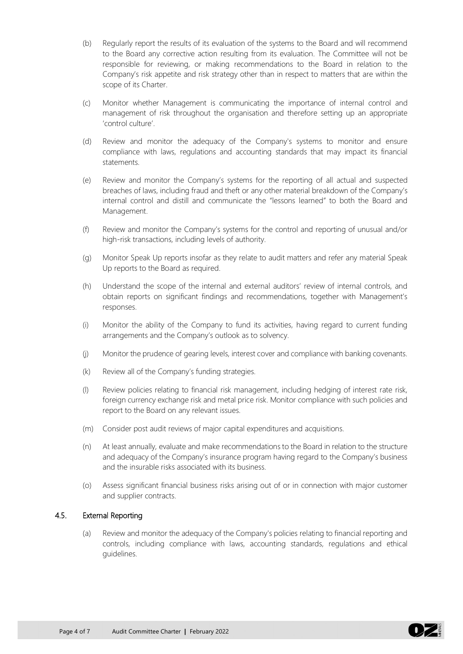- (b) Regularly report the results of its evaluation of the systems to the Board and will recommend to the Board any corrective action resulting from its evaluation. The Committee will not be responsible for reviewing, or making recommendations to the Board in relation to the Company's risk appetite and risk strategy other than in respect to matters that are within the scope of its Charter.
- (c) Monitor whether Management is communicating the importance of internal control and management of risk throughout the organisation and therefore setting up an appropriate 'control culture'.
- (d) Review and monitor the adequacy of the Company's systems to monitor and ensure compliance with laws, regulations and accounting standards that may impact its financial statements.
- (e) Review and monitor the Company's systems for the reporting of all actual and suspected breaches of laws, including fraud and theft or any other material breakdown of the Company's internal control and distill and communicate the "lessons learned" to both the Board and Management.
- (f) Review and monitor the Company's systems for the control and reporting of unusual and/or high-risk transactions, including levels of authority.
- (g) Monitor Speak Up reports insofar as they relate to audit matters and refer any material Speak Up reports to the Board as required.
- (h) Understand the scope of the internal and external auditors' review of internal controls, and obtain reports on significant findings and recommendations, together with Management's responses.
- (i) Monitor the ability of the Company to fund its activities, having regard to current funding arrangements and the Company's outlook as to solvency.
- (j) Monitor the prudence of gearing levels, interest cover and compliance with banking covenants.
- (k) Review all of the Company's funding strategies.
- (l) Review policies relating to financial risk management, including hedging of interest rate risk, foreign currency exchange risk and metal price risk. Monitor compliance with such policies and report to the Board on any relevant issues.
- (m) Consider post audit reviews of major capital expenditures and acquisitions.
- (n) At least annually, evaluate and make recommendations to the Board in relation to the structure and adequacy of the Company's insurance program having regard to the Company's business and the insurable risks associated with its business.
- (o) Assess significant financial business risks arising out of or in connection with major customer and supplier contracts.

#### <span id="page-3-1"></span><span id="page-3-0"></span>4.5. External Reporting

(a) Review and monitor the adequacy of the Company's policies relating to financial reporting and controls, including compliance with laws, accounting standards, regulations and ethical guidelines.

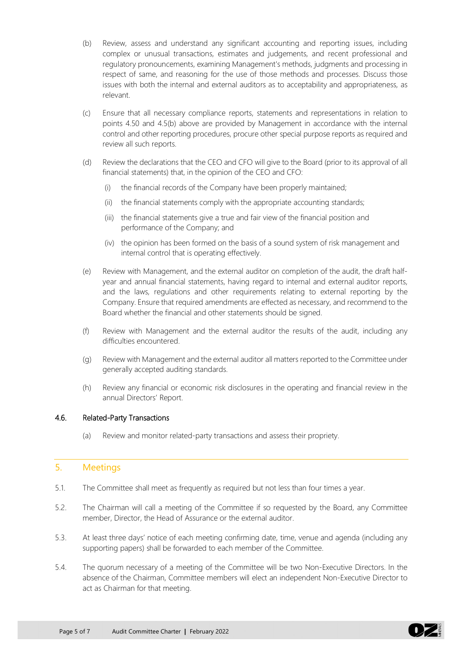- <span id="page-4-0"></span>(b) Review, assess and understand any significant accounting and reporting issues, including complex or unusual transactions, estimates and judgements, and recent professional and regulatory pronouncements, examining Management's methods, judgments and processing in respect of same, and reasoning for the use of those methods and processes. Discuss those issues with both the internal and external auditors as to acceptability and appropriateness, as relevant.
- (c) Ensure that all necessary compliance reports, statements and representations in relation to points [4.5](#page-3-0)[0](#page-3-1) and [4.5](#page-3-0)[\(b\)](#page-4-0) above are provided by Management in accordance with the internal control and other reporting procedures, procure other special purpose reports as required and review all such reports.
- (d) Review the declarations that the CEO and CFO will give to the Board (prior to its approval of all financial statements) that, in the opinion of the CEO and CFO:
	- (i) the financial records of the Company have been properly maintained;
	- (ii) the financial statements comply with the appropriate accounting standards;
	- (iii) the financial statements give a true and fair view of the financial position and performance of the Company; and
	- (iv) the opinion has been formed on the basis of a sound system of risk management and internal control that is operating effectively.
- (e) Review with Management, and the external auditor on completion of the audit, the draft halfyear and annual financial statements, having regard to internal and external auditor reports, and the laws, regulations and other requirements relating to external reporting by the Company. Ensure that required amendments are effected as necessary, and recommend to the Board whether the financial and other statements should be signed.
- (f) Review with Management and the external auditor the results of the audit, including any difficulties encountered.
- (g) Review with Management and the external auditor all matters reported to the Committee under generally accepted auditing standards.
- (h) Review any financial or economic risk disclosures in the operating and financial review in the annual Directors' Report.

### 4.6. Related-Party Transactions

(a) Review and monitor related-party transactions and assess their propriety.

## 5. Meetings

- 5.1. The Committee shall meet as frequently as required but not less than four times a year.
- 5.2. The Chairman will call a meeting of the Committee if so requested by the Board, any Committee member, Director, the Head of Assurance or the external auditor.
- 5.3. At least three days' notice of each meeting confirming date, time, venue and agenda (including any supporting papers) shall be forwarded to each member of the Committee.
- 5.4. The quorum necessary of a meeting of the Committee will be two Non-Executive Directors. In the absence of the Chairman, Committee members will elect an independent Non-Executive Director to act as Chairman for that meeting.

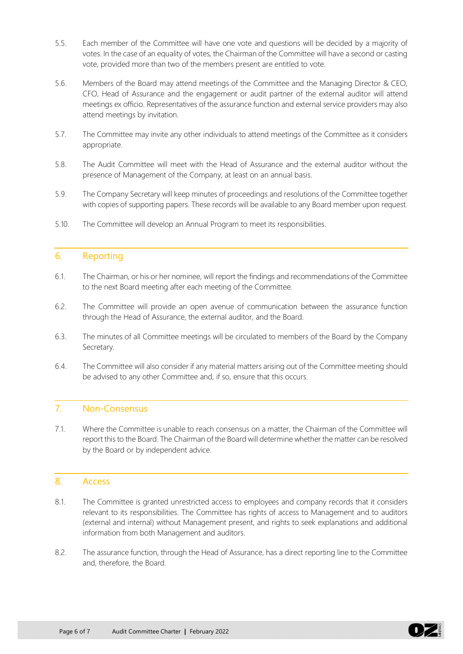- 5.5. Each member of the Committee will have one vote and questions will be decided by a majority of votes. In the case of an equality of votes, the Chairman of the Committee will have a second or casting vote, provided more than two of the members present are entitled to vote.
- 5.6. Members of the Board may attend meetings of the Committee and the Managing Director & CEO, CFO, Head of Assurance and the engagement or audit partner of the external auditor will attend meetings ex officio. Representatives of the assurance function and external service providers may also attend meetings by invitation.
- 5.7. The Committee may invite any other individuals to attend meetings of the Committee as it considers appropriate.
- 5.8. The Audit Committee will meet with the Head of Assurance and the external auditor without the presence of Management of the Company, at least on an annual basis.
- 5.9. The Company Secretary will keep minutes of proceedings and resolutions of the Committee together with copies of supporting papers. These records will be available to any Board member upon request.
- 5.10. The Committee will develop an Annual Program to meet its responsibilities.

### 6. Reporting

- 6.1. The Chairman, or his or her nominee, will report the findings and recommendations of the Committee to the next Board meeting after each meeting of the Committee.
- 6.2. The Committee will provide an open avenue of communication between the assurance function through the Head of Assurance, the external auditor, and the Board.
- 6.3. The minutes of all Committee meetings will be circulated to members of the Board by the Company Secretary.
- 6.4. The Committee will also consider if any material matters arising out of the Committee meeting should be advised to any other Committee and, if so, ensure that this occurs.

# 7. Non-Consensus

7.1. Where the Committee is unable to reach consensus on a matter, the Chairman of the Committee will report this to the Board. The Chairman of the Board will determine whether the matter can be resolved by the Board or by independent advice.

### 8. Access

- 8.1. The Committee is granted unrestricted access to employees and company records that it considers relevant to its responsibilities. The Committee has rights of access to Management and to auditors (external and internal) without Management present, and rights to seek explanations and additional information from both Management and auditors.
- 8.2. The assurance function, through the Head of Assurance, has a direct reporting line to the Committee and, therefore, the Board.